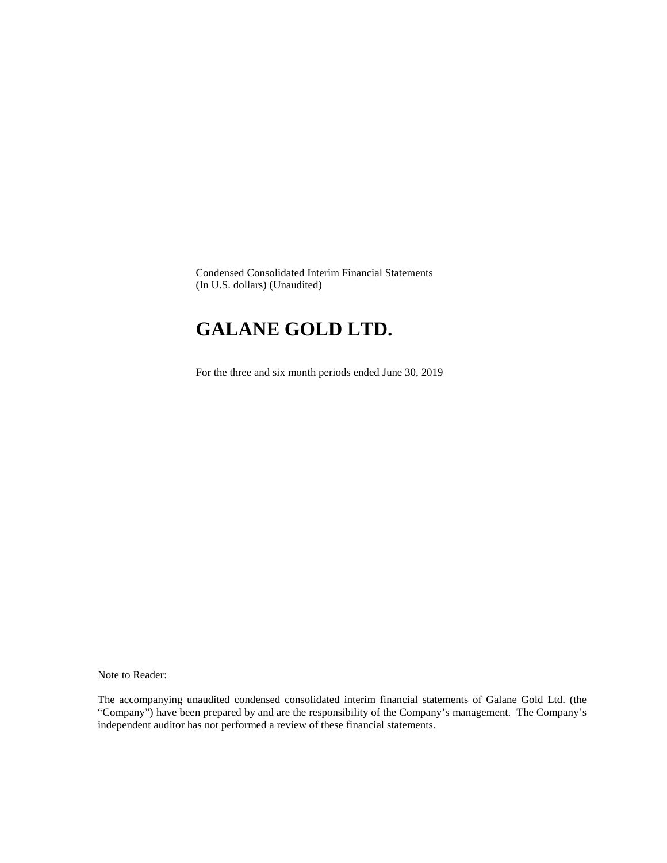Condensed Consolidated Interim Financial Statements (In U.S. dollars) (Unaudited)

# **GALANE GOLD LTD.**

For the three and six month periods ended June 30, 2019

Note to Reader:

The accompanying unaudited condensed consolidated interim financial statements of Galane Gold Ltd. (the "Company") have been prepared by and are the responsibility of the Company's management. The Company's independent auditor has not performed a review of these financial statements.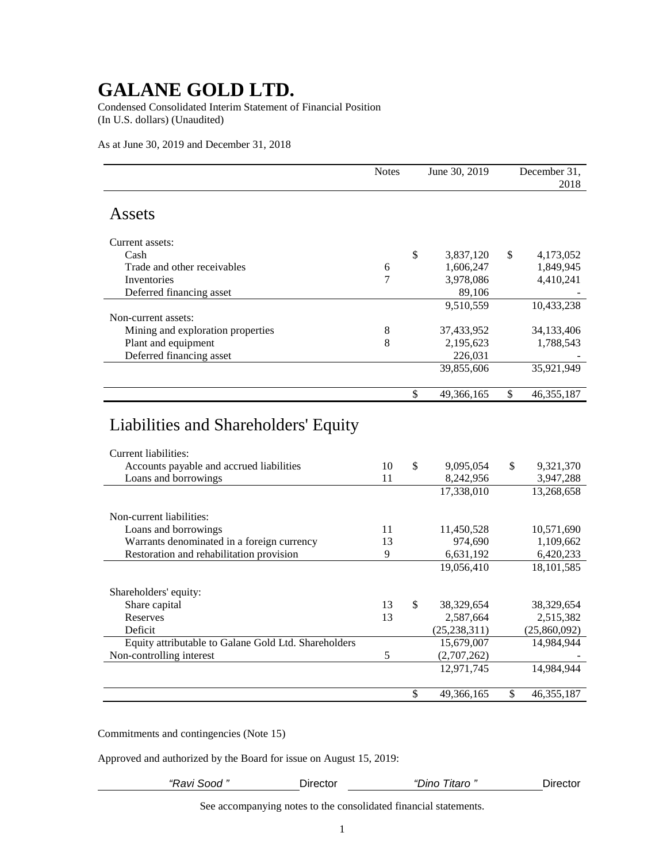Condensed Consolidated Interim Statement of Financial Position (In U.S. dollars) (Unaudited)

As at June 30, 2019 and December 31, 2018

|                                            | <b>Notes</b> | June 30, 2019 |            |               | December 31,<br>2018 |
|--------------------------------------------|--------------|---------------|------------|---------------|----------------------|
| Assets                                     |              |               |            |               |                      |
| Current assets:                            |              |               |            |               |                      |
| Cash                                       |              | \$            | 3,837,120  | \$            | 4,173,052            |
| Trade and other receivables                | 6            |               | 1,606,247  |               | 1,849,945            |
| Inventories                                | 7            |               | 3,978,086  |               | 4,410,241            |
| Deferred financing asset                   |              |               | 89,106     |               |                      |
|                                            |              |               | 9,510,559  |               | 10,433,238           |
| Non-current assets:                        |              |               |            |               |                      |
| Mining and exploration properties          | 8            |               | 37,433,952 |               | 34,133,406           |
| Plant and equipment                        | 8            |               | 2,195,623  |               | 1,788,543            |
| Deferred financing asset                   |              |               | 226,031    |               |                      |
|                                            |              |               | 39,855,606 |               | 35,921,949           |
|                                            |              | \$            | 49,366,165 | $\mathsf{\$}$ | 46, 355, 187         |
| Liabilities and Shareholders' Equity       |              |               |            |               |                      |
| Current liabilities:                       |              |               |            |               |                      |
| Accounts payable and accrued liabilities   | 10           | \$            | 9,095,054  | \$            | 9,321,370            |
| Loans and borrowings                       | 11           |               | 8,242,956  |               | 3,947,288            |
|                                            |              |               | 17,338,010 |               | 13,268,658           |
| Non-current liabilities:                   |              |               |            |               |                      |
| Loans and borrowings                       | 11           |               | 11,450,528 |               | 10,571,690           |
| Warrants denominated in a foreign currency | 13           |               | 974,690    |               | 1,109,662            |
| Restoration and rehabilitation provision   | 9            |               | 6,631,192  |               | 6,420,233            |
|                                            |              |               | 19,056,410 |               | 18,101,585           |

Commitments and contingencies (Note 15)

Shareholders' equity:

Approved and authorized by the Board for issue on August 15, 2019:

*"Ravi Sood "* Director *"Dino Titaro "* Director

12,971,745 14,984,944

\$ 49,366,165 \$ 46,355,187

Share capital 13 \$ 38,329,654 38,329,654<br>Reserves 13 2,587,664 2,515,382 Reserves 13 2,587,664 2,515,382 Deficit (25,238,311) (25,860,092) Equity attributable to Galane Gold Ltd. Shareholders 15,679,007 14,984,944

Non-controlling interest 5 (2,707,262)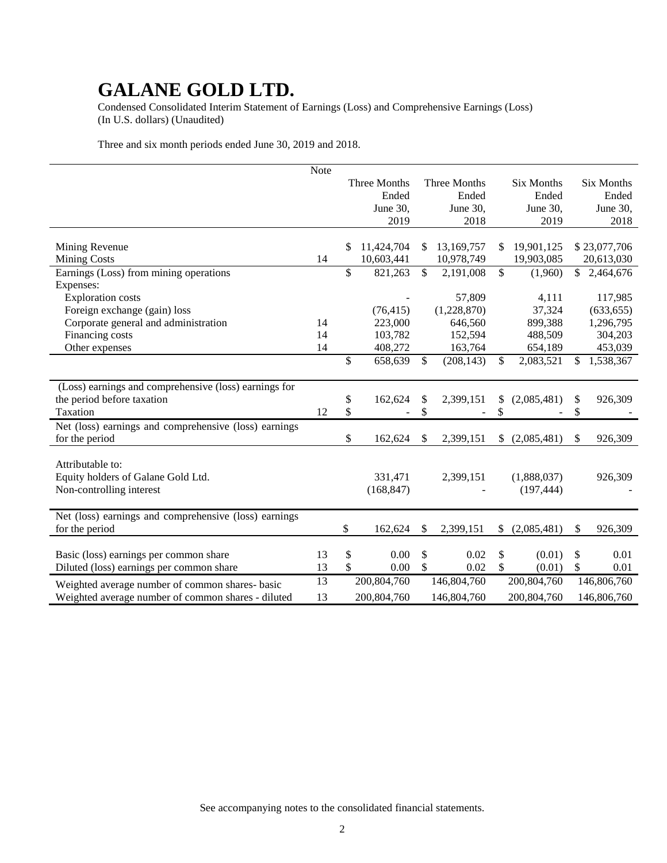Condensed Consolidated Interim Statement of Earnings (Loss) and Comprehensive Earnings (Loss) (In U.S. dollars) (Unaudited)

Three and six month periods ended June 30, 2019 and 2018.

|                                                       | Note |                  |               |              |                   |                 |
|-------------------------------------------------------|------|------------------|---------------|--------------|-------------------|-----------------|
|                                                       |      | Three Months     |               | Three Months | Six Months        | Six Months      |
|                                                       |      | Ended            |               | Ended        | Ended             | Ended           |
|                                                       |      | June 30,         |               | June 30,     | June 30,          | June 30,        |
|                                                       |      | 2019             |               | 2018         | 2019              | 2018            |
|                                                       |      |                  |               |              |                   |                 |
| Mining Revenue                                        |      | \$<br>11,424,704 | \$            | 13,169,757   | \$<br>19,901,125  | \$23,077,706    |
| <b>Mining Costs</b>                                   | 14   | 10,603,441       |               | 10,978,749   | 19,903,085        | 20,613,030      |
| Earnings (Loss) from mining operations                |      | \$<br>821,263    | $\mathsf{\$}$ | 2,191,008    | \$<br>(1,960)     | \$<br>2,464,676 |
| Expenses:                                             |      |                  |               |              |                   |                 |
| <b>Exploration costs</b>                              |      |                  |               | 57,809       | 4,111             | 117,985         |
| Foreign exchange (gain) loss                          |      | (76, 415)        |               | (1,228,870)  | 37,324            | (633, 655)      |
| Corporate general and administration                  | 14   | 223,000          |               | 646,560      | 899,388           | 1,296,795       |
| Financing costs                                       | 14   | 103,782          |               | 152,594      | 488,509           | 304,203         |
| Other expenses                                        | 14   | 408,272          |               | 163,764      | 654,189           | 453,039         |
|                                                       |      | \$<br>658,639    | \$            | (208, 143)   | \$<br>2,083,521   | \$<br>1,538,367 |
|                                                       |      |                  |               |              |                   |                 |
| (Loss) earnings and comprehensive (loss) earnings for |      |                  |               |              |                   |                 |
| the period before taxation                            |      | \$<br>162,624    | \$            | 2,399,151    | \$<br>(2,085,481) | \$<br>926,309   |
| Taxation                                              | 12   | \$               | \$            |              | \$                | \$              |
| Net (loss) earnings and comprehensive (loss) earnings |      |                  |               |              |                   |                 |
| for the period                                        |      | \$<br>162,624    | \$            | 2,399,151    | \$<br>(2,085,481) | \$<br>926,309   |
|                                                       |      |                  |               |              |                   |                 |
| Attributable to:                                      |      |                  |               |              |                   |                 |
| Equity holders of Galane Gold Ltd.                    |      | 331,471          |               | 2,399,151    | (1,888,037)       | 926,309         |
| Non-controlling interest                              |      | (168, 847)       |               |              | (197, 444)        |                 |
|                                                       |      |                  |               |              |                   |                 |
| Net (loss) earnings and comprehensive (loss) earnings |      |                  |               |              |                   |                 |
| for the period                                        |      | \$<br>162,624    | \$            | 2,399,151    | \$<br>(2,085,481) | \$<br>926,309   |
|                                                       |      |                  |               |              |                   |                 |
| Basic (loss) earnings per common share                | 13   | \$<br>0.00       | \$            | 0.02         | \$<br>(0.01)      | \$<br>0.01      |
| Diluted (loss) earnings per common share              | 13   | \$<br>0.00       | \$            | 0.02         | \$<br>(0.01)      | \$<br>0.01      |
| Weighted average number of common shares- basic       | 13   | 200,804,760      |               | 146,804,760  | 200,804,760       | 146,806,760     |
| Weighted average number of common shares - diluted    | 13   | 200,804,760      |               | 146,804,760  | 200,804,760       | 146,806,760     |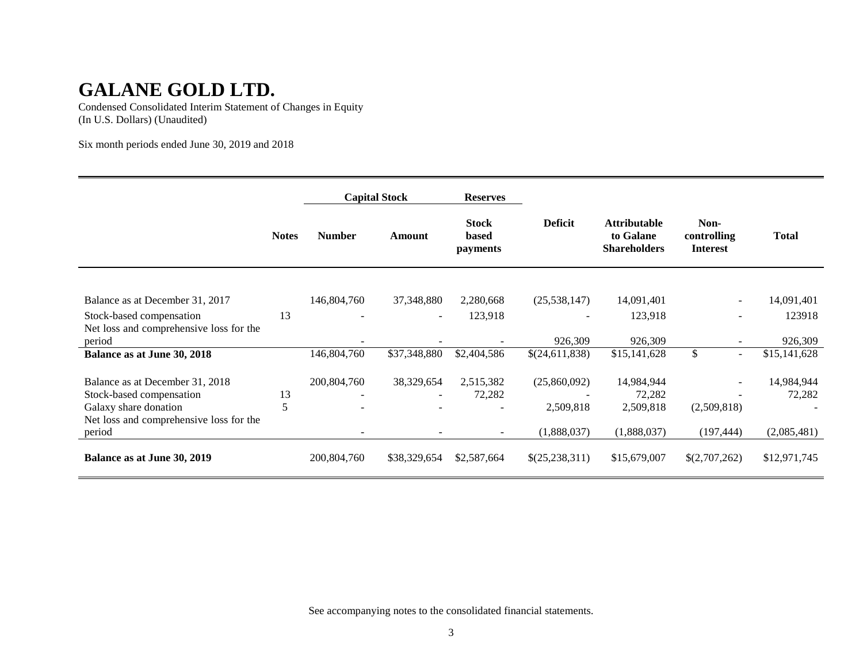Condensed Consolidated Interim Statement of Changes in Equity (In U.S. Dollars) (Unaudited)

Six month periods ended June 30, 2019 and 2018

|                                                                     |              |                          | <b>Capital Stock</b>     | <b>Reserves</b>                          |                |                                                         |                                        |              |
|---------------------------------------------------------------------|--------------|--------------------------|--------------------------|------------------------------------------|----------------|---------------------------------------------------------|----------------------------------------|--------------|
|                                                                     | <b>Notes</b> | <b>Number</b>            | Amount                   | <b>Stock</b><br>based<br><i>payments</i> | <b>Deficit</b> | <b>Attributable</b><br>to Galane<br><b>Shareholders</b> | Non-<br>controlling<br><b>Interest</b> | <b>Total</b> |
|                                                                     |              |                          |                          |                                          |                |                                                         |                                        |              |
| Balance as at December 31, 2017                                     |              | 146,804,760              | 37,348,880               | 2,280,668                                | (25, 538, 147) | 14,091,401                                              |                                        | 14,091,401   |
| Stock-based compensation<br>Net loss and comprehensive loss for the | 13           |                          | $\overline{a}$           | 123,918                                  |                | 123,918                                                 |                                        | 123918       |
| period                                                              |              |                          |                          |                                          | 926,309        | 926,309                                                 |                                        | 926,309      |
| Balance as at June 30, 2018                                         |              | 146,804,760              | \$37,348,880             | \$2,404,586                              | \$(24,611,838) | \$15,141,628                                            | \$<br>$\sim$                           | \$15,141,628 |
| Balance as at December 31, 2018                                     |              | 200,804,760              | 38,329,654               | 2,515,382                                | (25,860,092)   | 14,984,944                                              | $\sim$                                 | 14,984,944   |
| Stock-based compensation                                            | 13           | $\overline{\phantom{a}}$ | $\overline{\phantom{a}}$ | 72,282                                   |                | 72,282                                                  |                                        | 72,282       |
| Galaxy share donation                                               | 5            |                          |                          |                                          | 2,509,818      | 2,509,818                                               | (2,509,818)                            |              |
| Net loss and comprehensive loss for the                             |              |                          |                          |                                          |                |                                                         |                                        |              |
| period                                                              |              |                          |                          | $\overline{\phantom{a}}$                 | (1,888,037)    | (1,888,037)                                             | (197, 444)                             | (2,085,481)  |
| Balance as at June 30, 2019                                         |              | 200,804,760              | \$38,329,654             | \$2,587,664                              | \$(25,238,311) | \$15,679,007                                            | \$(2,707,262)                          | \$12,971,745 |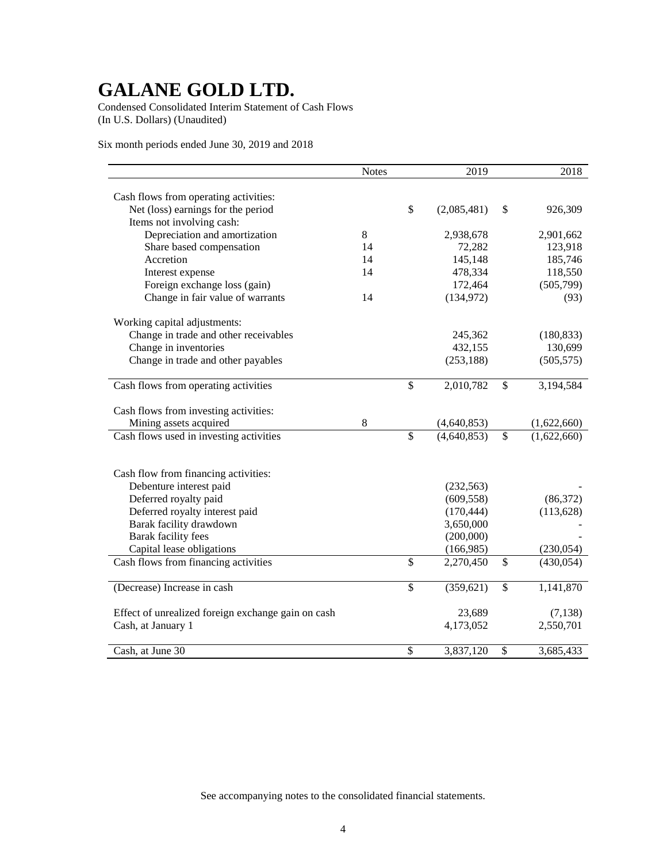Condensed Consolidated Interim Statement of Cash Flows (In U.S. Dollars) (Unaudited)

Six month periods ended June 30, 2019 and 2018

|                                                    | <b>Notes</b> |                 | 2019        | 2018              |
|----------------------------------------------------|--------------|-----------------|-------------|-------------------|
|                                                    |              |                 |             |                   |
| Cash flows from operating activities:              |              |                 |             |                   |
| Net (loss) earnings for the period                 |              | \$              | (2,085,481) | \$<br>926,309     |
| Items not involving cash:                          |              |                 |             |                   |
| Depreciation and amortization                      | 8            |                 | 2,938,678   | 2,901,662         |
| Share based compensation                           | 14           |                 | 72,282      | 123,918           |
| Accretion                                          | 14           |                 | 145,148     | 185,746           |
| Interest expense                                   | 14           |                 | 478,334     | 118,550           |
| Foreign exchange loss (gain)                       |              |                 | 172,464     | (505,799)         |
| Change in fair value of warrants                   | 14           |                 | (134, 972)  | (93)              |
| Working capital adjustments:                       |              |                 |             |                   |
| Change in trade and other receivables              |              |                 | 245,362     | (180, 833)        |
| Change in inventories                              |              |                 | 432,155     | 130,699           |
| Change in trade and other payables                 |              |                 | (253, 188)  | (505, 575)        |
|                                                    |              |                 |             |                   |
| Cash flows from operating activities               |              | \$              | 2,010,782   | \$<br>3,194,584   |
|                                                    |              |                 |             |                   |
| Cash flows from investing activities:              | 8            |                 |             |                   |
| Mining assets acquired                             |              | $\overline{\$}$ | (4,640,853) | \$<br>(1,622,660) |
| Cash flows used in investing activities            |              |                 | (4,640,853) | (1,622,660)       |
|                                                    |              |                 |             |                   |
|                                                    |              |                 |             |                   |
| Cash flow from financing activities:               |              |                 |             |                   |
| Debenture interest paid                            |              |                 | (232, 563)  |                   |
| Deferred royalty paid                              |              |                 | (609, 558)  | (86,372)          |
| Deferred royalty interest paid                     |              |                 | (170, 444)  | (113, 628)        |
| Barak facility drawdown                            |              |                 | 3,650,000   |                   |
| Barak facility fees                                |              |                 | (200,000)   |                   |
| Capital lease obligations                          |              |                 | (166,985)   | (230,054)         |
| Cash flows from financing activities               |              | \$              | 2,270,450   | \$<br>(430, 054)  |
| (Decrease) Increase in cash                        |              | \$              | (359, 621)  | \$<br>1,141,870   |
|                                                    |              |                 |             |                   |
| Effect of unrealized foreign exchange gain on cash |              |                 | 23,689      | (7,138)           |
| Cash, at January 1                                 |              |                 | 4,173,052   | 2,550,701         |
|                                                    |              |                 |             |                   |
| Cash, at June 30                                   |              | \$              | 3,837,120   | \$<br>3,685,433   |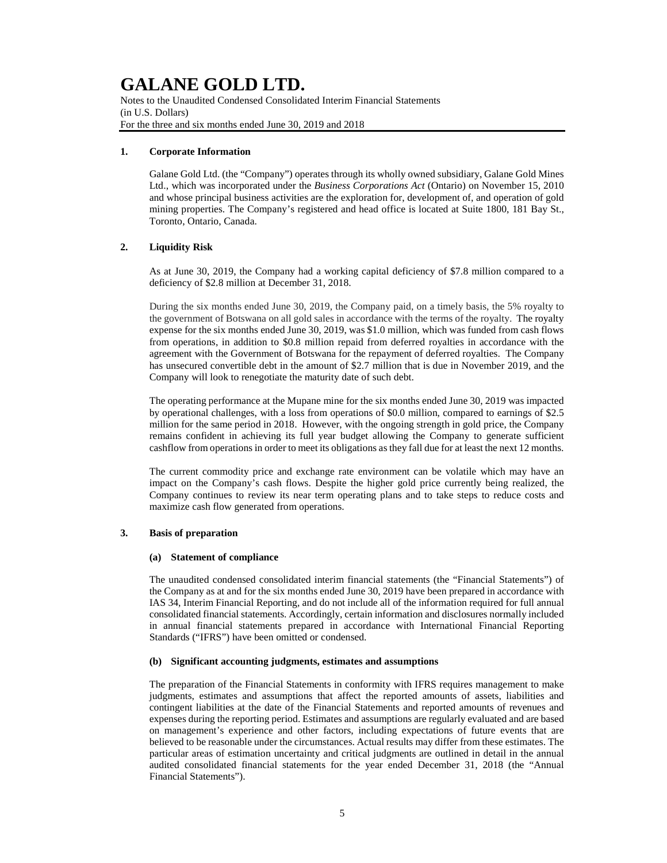Notes to the Unaudited Condensed Consolidated Interim Financial Statements (in U.S. Dollars) For the three and six months ended June 30, 2019 and 2018

#### **1. Corporate Information**

Galane Gold Ltd. (the "Company") operates through its wholly owned subsidiary, Galane Gold Mines Ltd., which was incorporated under the *Business Corporations Act* (Ontario) on November 15, 2010 and whose principal business activities are the exploration for, development of, and operation of gold mining properties. The Company's registered and head office is located at Suite 1800, 181 Bay St., Toronto, Ontario, Canada.

#### **2. Liquidity Risk**

As at June 30, 2019, the Company had a working capital deficiency of \$7.8 million compared to a deficiency of \$2.8 million at December 31, 2018.

During the six months ended June 30, 2019, the Company paid, on a timely basis, the 5% royalty to the government of Botswana on all gold sales in accordance with the terms of the royalty. The royalty expense for the six months ended June 30, 2019, was \$1.0 million, which was funded from cash flows from operations, in addition to \$0.8 million repaid from deferred royalties in accordance with the agreement with the Government of Botswana for the repayment of deferred royalties. The Company has unsecured convertible debt in the amount of \$2.7 million that is due in November 2019, and the Company will look to renegotiate the maturity date of such debt.

The operating performance at the Mupane mine for the six months ended June 30, 2019 was impacted by operational challenges, with a loss from operations of \$0.0 million, compared to earnings of \$2.5 million for the same period in 2018. However, with the ongoing strength in gold price, the Company remains confident in achieving its full year budget allowing the Company to generate sufficient cashflow from operations in order to meet its obligations as they fall due for at least the next 12 months.

The current commodity price and exchange rate environment can be volatile which may have an impact on the Company's cash flows. Despite the higher gold price currently being realized, the Company continues to review its near term operating plans and to take steps to reduce costs and maximize cash flow generated from operations.

#### **3. Basis of preparation**

#### **(a) Statement of compliance**

The unaudited condensed consolidated interim financial statements (the "Financial Statements") of the Company as at and for the six months ended June 30, 2019 have been prepared in accordance with IAS 34, Interim Financial Reporting, and do not include all of the information required for full annual consolidated financial statements. Accordingly, certain information and disclosures normally included in annual financial statements prepared in accordance with International Financial Reporting Standards ("IFRS") have been omitted or condensed.

#### **(b) Significant accounting judgments, estimates and assumptions**

The preparation of the Financial Statements in conformity with IFRS requires management to make judgments, estimates and assumptions that affect the reported amounts of assets, liabilities and contingent liabilities at the date of the Financial Statements and reported amounts of revenues and expenses during the reporting period. Estimates and assumptions are regularly evaluated and are based on management's experience and other factors, including expectations of future events that are believed to be reasonable under the circumstances. Actual results may differ from these estimates. The particular areas of estimation uncertainty and critical judgments are outlined in detail in the annual audited consolidated financial statements for the year ended December 31, 2018 (the "Annual Financial Statements").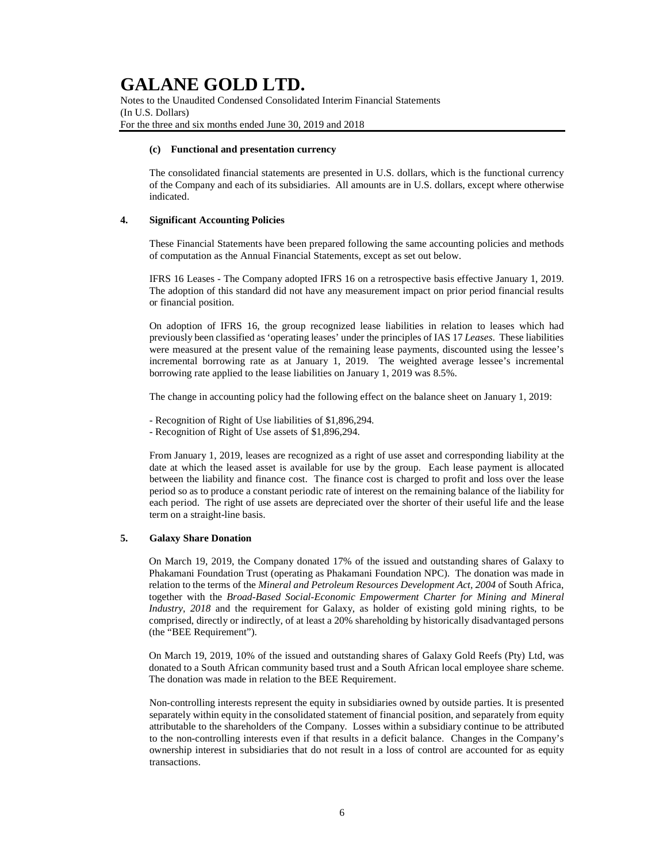Notes to the Unaudited Condensed Consolidated Interim Financial Statements (In U.S. Dollars) For the three and six months ended June 30, 2019 and 2018

#### **(c) Functional and presentation currency**

The consolidated financial statements are presented in U.S. dollars, which is the functional currency of the Company and each of its subsidiaries. All amounts are in U.S. dollars, except where otherwise indicated.

#### **4. Significant Accounting Policies**

These Financial Statements have been prepared following the same accounting policies and methods of computation as the Annual Financial Statements, except as set out below.

IFRS 16 Leases - The Company adopted IFRS 16 on a retrospective basis effective January 1, 2019. The adoption of this standard did not have any measurement impact on prior period financial results or financial position.

On adoption of IFRS 16, the group recognized lease liabilities in relation to leases which had previously been classified as 'operating leases' under the principles of IAS 17 *Leases*. These liabilities were measured at the present value of the remaining lease payments, discounted using the lessee's incremental borrowing rate as at January 1, 2019. The weighted average lessee's incremental borrowing rate applied to the lease liabilities on January 1, 2019 was 8.5%.

The change in accounting policy had the following effect on the balance sheet on January 1, 2019:

- Recognition of Right of Use liabilities of \$1,896,294.
- Recognition of Right of Use assets of \$1,896,294.

From January 1, 2019, leases are recognized as a right of use asset and corresponding liability at the date at which the leased asset is available for use by the group. Each lease payment is allocated between the liability and finance cost. The finance cost is charged to profit and loss over the lease period so as to produce a constant periodic rate of interest on the remaining balance of the liability for each period. The right of use assets are depreciated over the shorter of their useful life and the lease term on a straight-line basis.

#### **5. Galaxy Share Donation**

On March 19, 2019, the Company donated 17% of the issued and outstanding shares of Galaxy to Phakamani Foundation Trust (operating as Phakamani Foundation NPC). The donation was made in relation to the terms of the *Mineral and Petroleum Resources Development Act, 2004* of South Africa, together with the *Broad-Based Social-Economic Empowerment Charter for Mining and Mineral Industry, 2018* and the requirement for Galaxy, as holder of existing gold mining rights, to be comprised, directly or indirectly, of at least a 20% shareholding by historically disadvantaged persons (the "BEE Requirement").

On March 19, 2019, 10% of the issued and outstanding shares of Galaxy Gold Reefs (Pty) Ltd, was donated to a South African community based trust and a South African local employee share scheme. The donation was made in relation to the BEE Requirement.

Non-controlling interests represent the equity in subsidiaries owned by outside parties. It is presented separately within equity in the consolidated statement of financial position, and separately from equity attributable to the shareholders of the Company. Losses within a subsidiary continue to be attributed to the non-controlling interests even if that results in a deficit balance. Changes in the Company's ownership interest in subsidiaries that do not result in a loss of control are accounted for as equity transactions.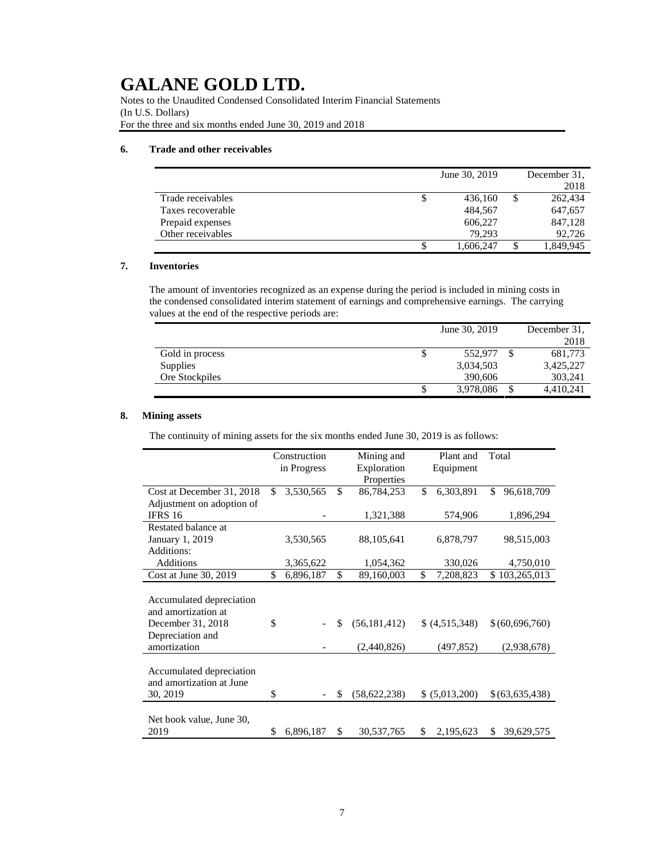Notes to the Unaudited Condensed Consolidated Interim Financial Statements (In U.S. Dollars) For the three and six months ended June 30, 2019 and 2018

### **6. Trade and other receivables**

|                   | June 30, 2019   | December 31.    |
|-------------------|-----------------|-----------------|
|                   |                 | 2018            |
| Trade receivables | \$<br>436,160   | \$<br>262,434   |
| Taxes recoverable | 484.567         | 647,657         |
| Prepaid expenses  | 606,227         | 847.128         |
| Other receivables | 79.293          | 92,726          |
|                   | \$<br>1,606,247 | \$<br>1,849,945 |

### **7. Inventories**

The amount of inventories recognized as an expense during the period is included in mining costs in the condensed consolidated interim statement of earnings and comprehensive earnings. The carrying values at the end of the respective periods are:

|                 |    | June 30, 2019 | December 31. |
|-----------------|----|---------------|--------------|
|                 |    |               | 2018         |
| Gold in process | \$ | 552,977       | 681,773      |
| Supplies        |    | 3,034,503     | 3,425,227    |
| Ore Stockpiles  |    | 390,606       | 303.241      |
|                 | S  | 3,978,086     | 4,410,241    |

### **8. Mining assets**

The continuity of mining assets for the six months ended June 30, 2019 is as follows:

|                                                                      |             | Construction | Mining and           |            | Plant and      |    | Total           |
|----------------------------------------------------------------------|-------------|--------------|----------------------|------------|----------------|----|-----------------|
|                                                                      | in Progress |              | Exploration          |            | Equipment      |    |                 |
|                                                                      |             |              | Properties           |            |                |    |                 |
| Cost at December 31, 2018                                            | \$          | 3,530,565    | \$<br>86,784,253     | \$         | 6,303,891      | \$ | 96,618,709      |
| Adjustment on adoption of                                            |             |              |                      |            |                |    |                 |
| <b>IFRS 16</b>                                                       |             |              | 1,321,388            |            | 574,906        |    | 1,896,294       |
| Restated balance at                                                  |             |              |                      |            |                |    |                 |
| January 1, 2019                                                      |             | 3,530,565    | 88,105,641           |            | 6,878,797      |    | 98,515,003      |
| Additions:                                                           |             |              |                      |            |                |    |                 |
| Additions                                                            |             | 3,365,622    | 1,054,362            |            | 330,026        |    | 4,750,010       |
| Cost at June 30, 2019                                                | \$          | 6,896,187    | \$<br>89,160,003     | \$         | 7,208,823      |    | \$103,265,013   |
| Accumulated depreciation<br>and amortization at<br>December 31, 2018 | \$          |              | \$<br>(56, 181, 412) |            | \$ (4,515,348) |    | \$ (60,696,760) |
| Depreciation and<br>amortization                                     |             |              | (2,440,826)          | (497, 852) |                |    | (2,938,678)     |
| Accumulated depreciation<br>and amortization at June<br>30, 2019     | \$          |              | \$<br>(58, 622, 238) |            | \$ (5,013,200) |    | \$(63,635,438)  |
| Net book value, June 30,<br>2019                                     | S           | 6,896,187    | \$<br>30,537,765     | \$         | 2,195,623      | \$ | 39,629,575      |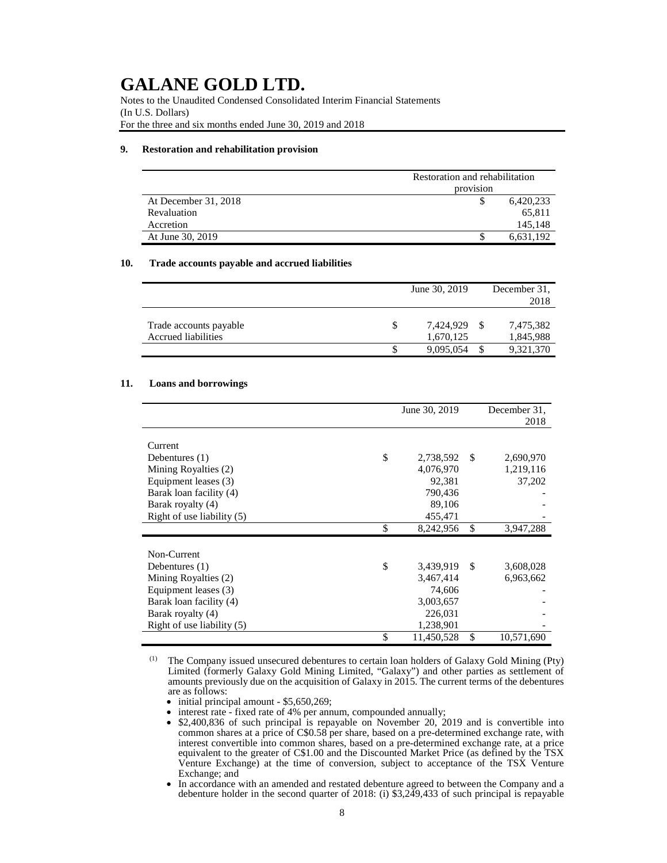Notes to the Unaudited Condensed Consolidated Interim Financial Statements (In U.S. Dollars) For the three and six months ended June 30, 2019 and 2018

#### **9. Restoration and rehabilitation provision**

|                      | Restoration and rehabilitation |  |  |  |
|----------------------|--------------------------------|--|--|--|
|                      | provision                      |  |  |  |
| At December 31, 2018 | 6,420,233                      |  |  |  |
| Revaluation          | 65,811                         |  |  |  |
| Accretion            | 145,148                        |  |  |  |
| At June 30, 2019     | 6,631,192                      |  |  |  |

#### **10. Trade accounts payable and accrued liabilities**

|                        |   | June 30, 2019 |   | December 31. |
|------------------------|---|---------------|---|--------------|
|                        |   |               |   | 2018         |
|                        |   |               |   |              |
| Trade accounts payable | S | 7.424.929     | S | 7,475,382    |
| Accrued liabilities    |   | 1,670,125     |   | 1,845,988    |
|                        |   | 9,095,054     |   | 9,321,370    |

#### **11. Loans and borrowings**

|                              | June 30, 2019    |    | December 31. |
|------------------------------|------------------|----|--------------|
|                              |                  |    | 2018         |
|                              |                  |    |              |
| Current                      |                  |    |              |
| Debentures $(1)$             | \$<br>2,738,592  | S  | 2,690,970    |
| Mining Royalties (2)         | 4,076,970        |    | 1,219,116    |
| Equipment leases (3)         | 92,381           |    | 37,202       |
| Barak loan facility (4)      | 790,436          |    |              |
| Barak royalty (4)            | 89,106           |    |              |
| Right of use liability $(5)$ | 455,471          |    |              |
|                              | \$<br>8,242,956  | \$ | 3,947,288    |
|                              |                  |    |              |
| Non-Current                  |                  |    |              |
| Debentures $(1)$             | \$<br>3,439,919  | S  | 3,608,028    |
| Mining Royalties (2)         | 3,467,414        |    | 6,963,662    |
| Equipment leases (3)         | 74,606           |    |              |
| Barak loan facility (4)      | 3,003,657        |    |              |
| Barak royalty (4)            | 226,031          |    |              |
| Right of use liability (5)   | 1,238,901        |    |              |
|                              | \$<br>11,450,528 | \$ | 10,571,690   |

(1) The Company issued unsecured debentures to certain loan holders of Galaxy Gold Mining (Pty) Limited (formerly Galaxy Gold Mining Limited, "Galaxy") and other parties as settlement of amounts previously due on the acquisition of Galaxy in 2015. The current terms of the debentures are as follows:

• initial principal amount - \$5,650,269;

• interest rate - fixed rate of 4% per annum, compounded annually;

• \$2,400,836 of such principal is repayable on November 20, 2019 and is convertible into common shares at a price of C\$0.58 per share, based on a pre-determined exchange rate, with interest convertible into common shares, based on a pre-determined exchange rate, at a price equivalent to the greater of C\$1.00 and the Discounted Market Price (as defined by the TSX Venture Exchange) at the time of conversion, subject to acceptance of the TSX Venture Exchange; and

• In accordance with an amended and restated debenture agreed to between the Company and a debenture holder in the second quarter of 2018: (i) \$3,249,433 of such principal is repayable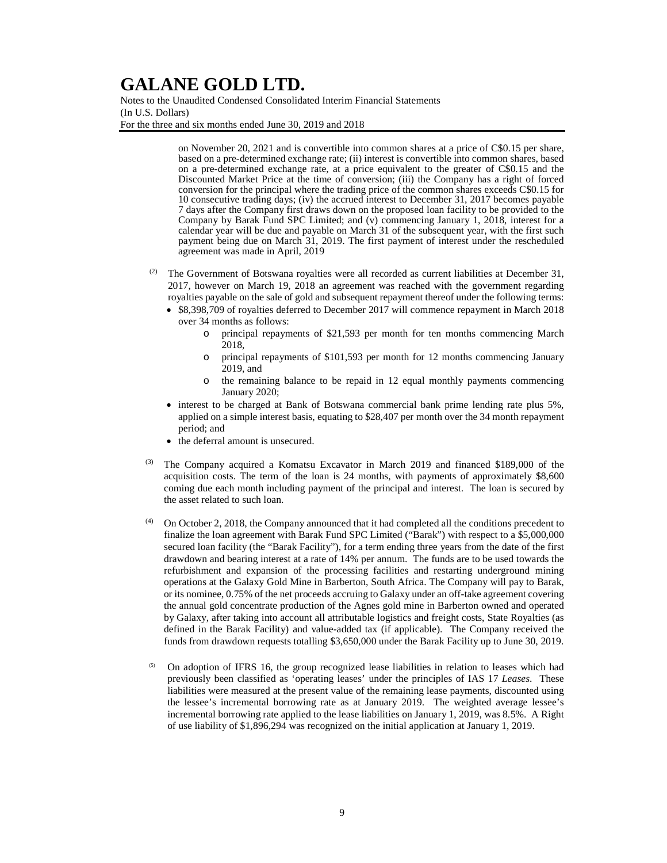Notes to the Unaudited Condensed Consolidated Interim Financial Statements (In U.S. Dollars) For the three and six months ended June 30, 2019 and 2018

> on November 20, 2021 and is convertible into common shares at a price of C\$0.15 per share, based on a pre-determined exchange rate; (ii) interest is convertible into common shares, based on a pre-determined exchange rate, at a price equivalent to the greater of C\$0.15 and the Discounted Market Price at the time of conversion; (iii) the Company has a right of forced conversion for the principal where the trading price of the common shares exceeds C\$0.15 for 10 consecutive trading days; (iv) the accrued interest to December 31, 2017 becomes payable 7 days after the Company first draws down on the proposed loan facility to be provided to the Company by Barak Fund SPC Limited; and (v) commencing January 1, 2018, interest for a calendar year will be due and payable on March 31 of the subsequent year, with the first such payment being due on March 31, 2019. The first payment of interest under the rescheduled agreement was made in April, 2019

- (2) The Government of Botswana royalties were all recorded as current liabilities at December 31, 2017, however on March 19, 2018 an agreement was reached with the government regarding royalties payable on the sale of gold and subsequent repayment thereof under the following terms:
	- \$8,398,709 of royalties deferred to December 2017 will commence repayment in March 2018 over 34 months as follows:
		- o principal repayments of \$21,593 per month for ten months commencing March 2018,
		- o principal repayments of \$101,593 per month for 12 months commencing January 2019, and
		- o the remaining balance to be repaid in 12 equal monthly payments commencing January 2020;
	- interest to be charged at Bank of Botswana commercial bank prime lending rate plus 5%, applied on a simple interest basis, equating to \$28,407 per month over the 34 month repayment period; and
	- the deferral amount is unsecured.
- (3) The Company acquired a Komatsu Excavator in March 2019 and financed \$189,000 of the acquisition costs. The term of the loan is 24 months, with payments of approximately \$8,600 coming due each month including payment of the principal and interest. The loan is secured by the asset related to such loan.
- $(4)$  On October 2, 2018, the Company announced that it had completed all the conditions precedent to finalize the loan agreement with Barak Fund SPC Limited ("Barak") with respect to a \$5,000,000 secured loan facility (the "Barak Facility"), for a term ending three years from the date of the first drawdown and bearing interest at a rate of 14% per annum. The funds are to be used towards the refurbishment and expansion of the processing facilities and restarting underground mining operations at the Galaxy Gold Mine in Barberton, South Africa. The Company will pay to Barak, or its nominee, 0.75% of the net proceeds accruing to Galaxy under an off-take agreement covering the annual gold concentrate production of the Agnes gold mine in Barberton owned and operated by Galaxy, after taking into account all attributable logistics and freight costs, State Royalties (as defined in the Barak Facility) and value-added tax (if applicable). The Company received the funds from drawdown requests totalling \$3,650,000 under the Barak Facility up to June 30, 2019.
- <sup>(5)</sup> On adoption of IFRS 16, the group recognized lease liabilities in relation to leases which had previously been classified as 'operating leases' under the principles of IAS 17 *Leases*. These liabilities were measured at the present value of the remaining lease payments, discounted using the lessee's incremental borrowing rate as at January 2019. The weighted average lessee's incremental borrowing rate applied to the lease liabilities on January 1, 2019, was 8.5%. A Right of use liability of \$1,896,294 was recognized on the initial application at January 1, 2019.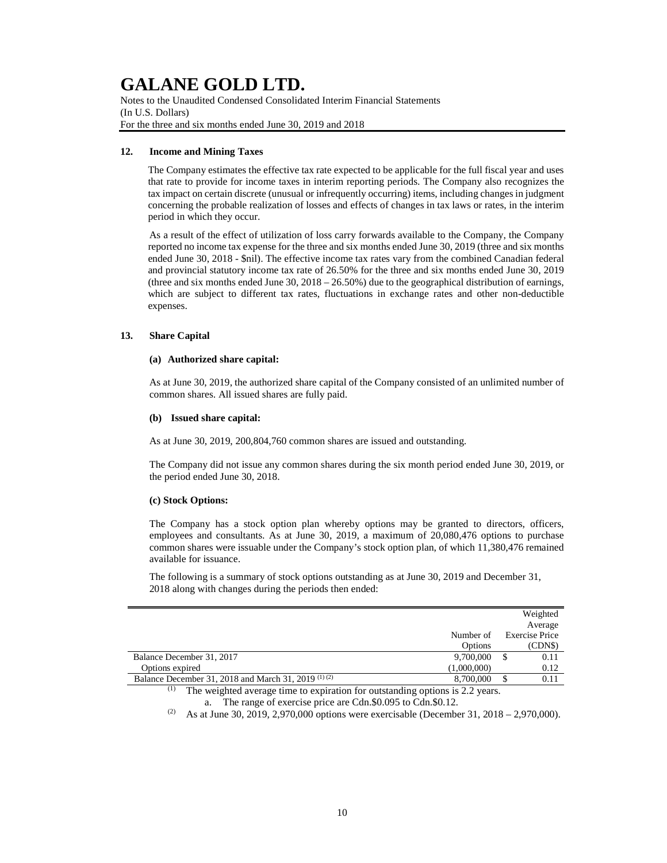Notes to the Unaudited Condensed Consolidated Interim Financial Statements (In U.S. Dollars) For the three and six months ended June 30, 2019 and 2018

#### **12. Income and Mining Taxes**

The Company estimates the effective tax rate expected to be applicable for the full fiscal year and uses that rate to provide for income taxes in interim reporting periods. The Company also recognizes the tax impact on certain discrete (unusual or infrequently occurring) items, including changes in judgment concerning the probable realization of losses and effects of changes in tax laws or rates, in the interim period in which they occur.

As a result of the effect of utilization of loss carry forwards available to the Company, the Company reported no income tax expense for the three and six months ended June 30, 2019 (three and six months ended June 30, 2018 - \$nil). The effective income tax rates vary from the combined Canadian federal and provincial statutory income tax rate of 26.50% for the three and six months ended June 30, 2019 (three and six months ended June 30,  $2018 - 26.50\%$ ) due to the geographical distribution of earnings, which are subject to different tax rates, fluctuations in exchange rates and other non-deductible expenses.

#### **13. Share Capital**

#### **(a) Authorized share capital:**

As at June 30, 2019, the authorized share capital of the Company consisted of an unlimited number of common shares. All issued shares are fully paid.

#### **(b) Issued share capital:**

As at June 30, 2019, 200,804,760 common shares are issued and outstanding.

The Company did not issue any common shares during the six month period ended June 30, 2019, or the period ended June 30, 2018.

#### **(c) Stock Options:**

The Company has a stock option plan whereby options may be granted to directors, officers, employees and consultants. As at June 30, 2019, a maximum of 20,080,476 options to purchase common shares were issuable under the Company's stock option plan, of which 11,380,476 remained available for issuance.

The following is a summary of stock options outstanding as at June 30, 2019 and December 31, 2018 along with changes during the periods then ended:

|                                                      |             | Weighted              |
|------------------------------------------------------|-------------|-----------------------|
|                                                      |             | Average               |
|                                                      | Number of   | <b>Exercise Price</b> |
|                                                      | Options     | (CDN\$)               |
| Balance December 31, 2017                            | 9,700,000   | 0.11                  |
| Options expired                                      | (1,000,000) | 0.12                  |
| Balance December 31, 2018 and March 31, 2019 (1) (2) | 8,700,000   | 0.11                  |
| アイトライト しんしょう しんしょう アイ・プレート しんしょう しんしょう               |             |                       |

(1) The weighted average time to expiration for outstanding options is 2.2 years. a. The range of exercise price are Cdn.\$0.095 to Cdn.\$0.12.

<sup>(2)</sup> As at June 30, 2019, 2,970,000 options were exercisable (December 31, 2018 – 2,970,000).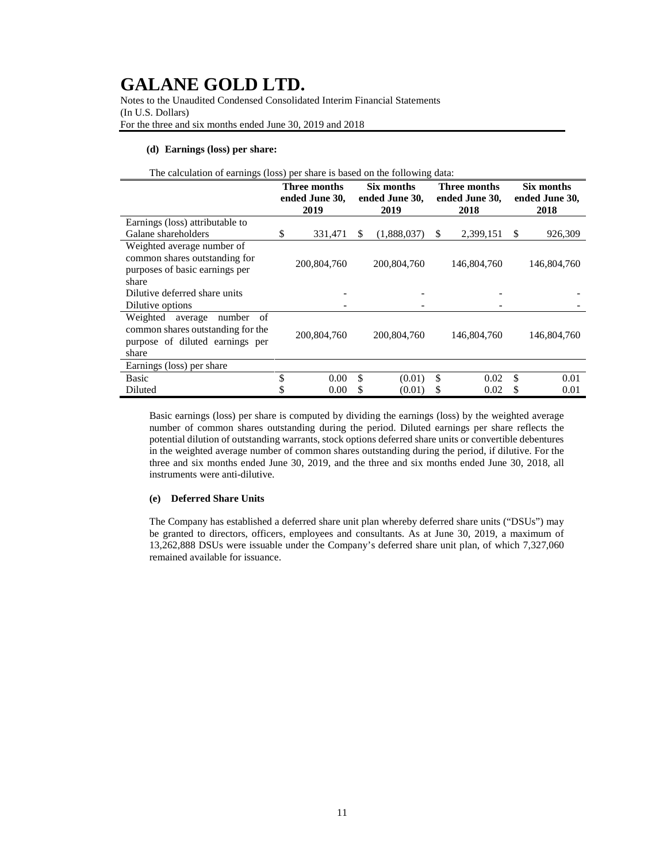Notes to the Unaudited Condensed Consolidated Interim Financial Statements (In U.S. Dollars) For the three and six months ended June 30, 2019 and 2018

#### **(d) Earnings (loss) per share:**

| The calculation of earnings (loss) per share is based on the following data: |
|------------------------------------------------------------------------------|
|------------------------------------------------------------------------------|

|                                                                                                                      | Three months<br>ended June 30,<br>2019 |             |                        | Six months  |                        | Three months |                        | Six months  |  |
|----------------------------------------------------------------------------------------------------------------------|----------------------------------------|-------------|------------------------|-------------|------------------------|--------------|------------------------|-------------|--|
|                                                                                                                      |                                        |             | ended June 30,<br>2019 |             | ended June 30,<br>2018 |              | ended June 30,<br>2018 |             |  |
| Earnings (loss) attributable to                                                                                      |                                        |             |                        |             |                        |              |                        |             |  |
| Galane shareholders                                                                                                  | \$                                     | 331.471     | S                      | (1,888,037) | S                      | 2,399,151    | S                      | 926,309     |  |
| Weighted average number of<br>common shares outstanding for<br>purposes of basic earnings per<br>share               |                                        | 200,804,760 |                        | 200,804,760 |                        | 146,804,760  |                        | 146,804,760 |  |
| Dilutive deferred share units                                                                                        |                                        |             |                        |             |                        |              |                        |             |  |
| Dilutive options                                                                                                     |                                        |             |                        |             |                        |              |                        |             |  |
| Weighted<br>number<br>average<br>of<br>common shares outstanding for the<br>purpose of diluted earnings per<br>share |                                        | 200,804,760 |                        | 200,804,760 |                        | 146,804,760  |                        | 146,804,760 |  |
| Earnings (loss) per share                                                                                            |                                        |             |                        |             |                        |              |                        |             |  |
| <b>Basic</b>                                                                                                         | \$                                     | 0.00        | \$                     | (0.01)      | \$                     | 0.02         | \$                     | 0.01        |  |
| Diluted                                                                                                              | \$                                     | 0.00        | \$                     | (0.01)      |                        | 0.02         | \$                     | 0.01        |  |

Basic earnings (loss) per share is computed by dividing the earnings (loss) by the weighted average number of common shares outstanding during the period. Diluted earnings per share reflects the potential dilution of outstanding warrants, stock options deferred share units or convertible debentures in the weighted average number of common shares outstanding during the period, if dilutive. For the three and six months ended June 30, 2019, and the three and six months ended June 30, 2018, all instruments were anti-dilutive.

### **(e) Deferred Share Units**

The Company has established a deferred share unit plan whereby deferred share units ("DSUs") may be granted to directors, officers, employees and consultants. As at June 30, 2019, a maximum of 13,262,888 DSUs were issuable under the Company's deferred share unit plan, of which 7,327,060 remained available for issuance.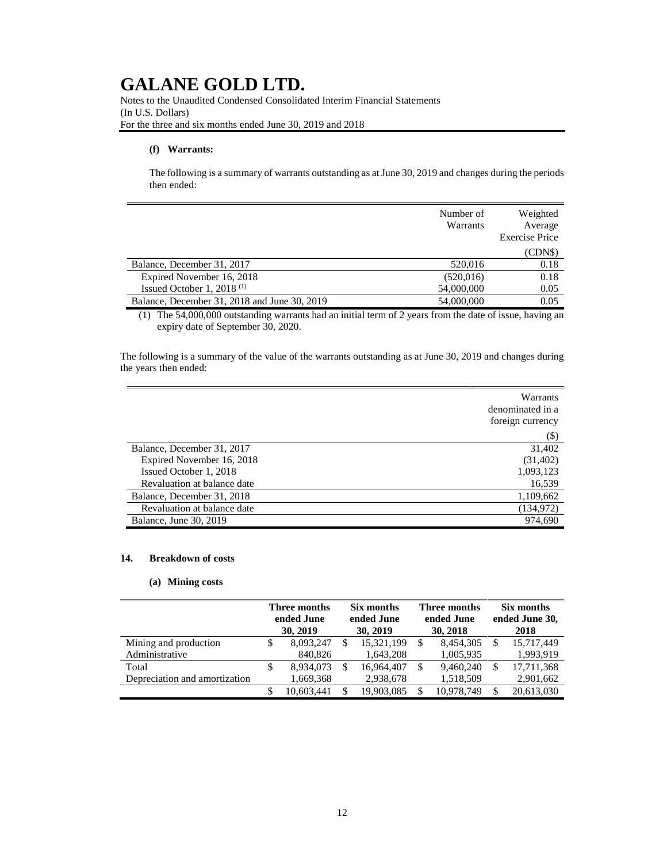Notes to the Unaudited Condensed Consolidated Interim Financial Statements (In U.S. Dollars) For the three and six months ended June 30, 2019 and 2018

#### **(f) Warrants:**

The following is a summary of warrants outstanding as at June 30, 2019 and changes during the periods then ended:

|                                              | Number of<br>Warrants | Weighted<br>Average<br><b>Exercise Price</b> |
|----------------------------------------------|-----------------------|----------------------------------------------|
|                                              |                       | (CDNS)                                       |
| Balance, December 31, 2017                   | 520,016               | 0.18                                         |
| Expired November 16, 2018                    | (520, 016)            | 0.18                                         |
| Issued October 1, 2018 $(1)$                 | 54,000,000            | 0.05                                         |
| Balance, December 31, 2018 and June 30, 2019 | 54,000,000            | 0.05                                         |

(1) The 54,000,000 outstanding warrants had an initial term of 2 years from the date of issue, having an expiry date of September 30, 2020.

The following is a summary of the value of the warrants outstanding as at June 30, 2019 and changes during the years then ended:

|                             | Warrants<br>denominated in a<br>foreign currency |
|-----------------------------|--------------------------------------------------|
|                             | $(\$)$                                           |
| Balance, December 31, 2017  | 31,402                                           |
| Expired November 16, 2018   | (31,402)                                         |
| Issued October 1, 2018      | 1,093,123                                        |
| Revaluation at balance date | 16,539                                           |
| Balance, December 31, 2018  | 1,109,662                                        |
| Revaluation at balance date | (134, 972)                                       |
| Balance, June 30, 2019      | 974.690                                          |

#### **14. Breakdown of costs**

### **(a) Mining costs**

|                               |   | Three months<br>ended June<br>30, 2019 |    | Six months<br>ended June<br>30, 2019 |   | Three months<br>ended June<br>30, 2018 |  | Six months<br>ended June 30,<br>2018 |  |
|-------------------------------|---|----------------------------------------|----|--------------------------------------|---|----------------------------------------|--|--------------------------------------|--|
| Mining and production         | S | 8,093,247                              | \$ | 15,321,199                           | S | 8.454.305                              |  | 15.717.449                           |  |
| Administrative                |   | 840,826                                |    | 1.643.208                            |   | 1,005,935                              |  | 1,993,919                            |  |
| Total                         | S | 8,934,073                              | S  | 16,964,407                           | S | 9.460.240                              |  | 17,711,368                           |  |
| Depreciation and amortization |   | 1,669,368                              |    | 2,938,678                            |   | 1,518,509                              |  | 2,901,662                            |  |
|                               |   | 10.603.441                             | S  | 19,903,085                           |   | 10.978.749                             |  | 20,613,030                           |  |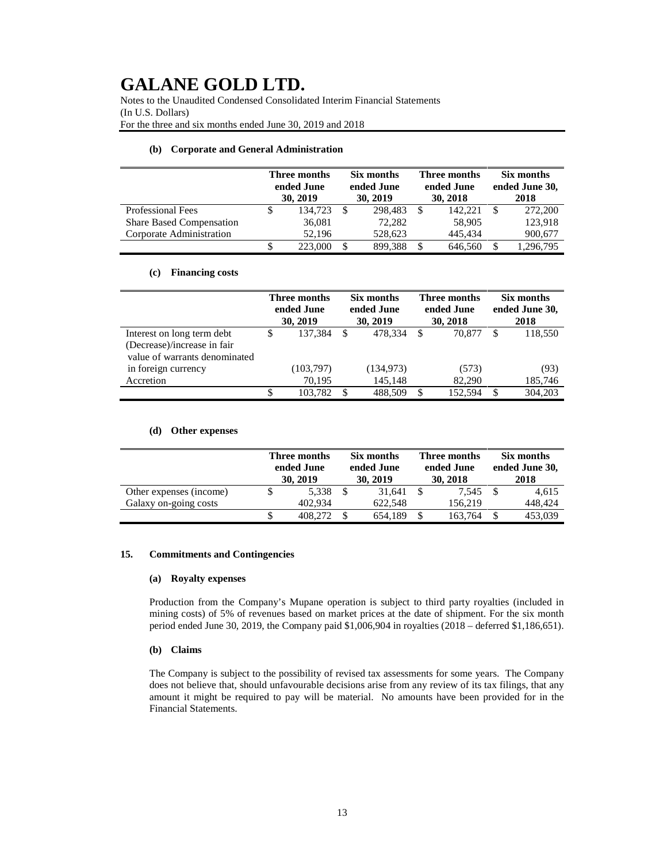Notes to the Unaudited Condensed Consolidated Interim Financial Statements (In U.S. Dollars) For the three and six months ended June 30, 2019 and 2018

#### **(b) Corporate and General Administration**

|                                 | Three months<br>ended June<br>30, 2019 |    | Six months<br>ended June<br>30, 2019 |  | Three months<br>ended June<br>30, 2018 |  | Six months<br>ended June 30,<br>2018 |  |
|---------------------------------|----------------------------------------|----|--------------------------------------|--|----------------------------------------|--|--------------------------------------|--|
| <b>Professional Fees</b>        | 134.723                                | -S | 298,483                              |  | 142.221                                |  | 272,200                              |  |
| <b>Share Based Compensation</b> | 36,081                                 |    | 72.282                               |  | 58,905                                 |  | 123,918                              |  |
| Corporate Administration        | 52.196                                 |    | 528,623                              |  | 445.434                                |  | 900,677                              |  |
|                                 | 223,000                                |    | 899,388                              |  | 646,560                                |  | 1,296,795                            |  |

#### **(c) Financing costs**

|                               | Three months<br>ended June<br>30, 2019 |           | Six months<br>ended June<br>30, 2019 |            | <b>Three months</b><br>ended June<br>30, 2018 |         | Six months<br>ended June 30,<br>2018 |         |
|-------------------------------|----------------------------------------|-----------|--------------------------------------|------------|-----------------------------------------------|---------|--------------------------------------|---------|
| Interest on long term debt    | S                                      | 137,384   | <sup>\$</sup>                        | 478.334    | S                                             | 70,877  |                                      | 118,550 |
| (Decrease)/increase in fair   |                                        |           |                                      |            |                                               |         |                                      |         |
| value of warrants denominated |                                        |           |                                      |            |                                               |         |                                      |         |
| in foreign currency           |                                        | (103,797) |                                      | (134, 973) |                                               | (573)   |                                      | (93)    |
| Accretion                     |                                        | 70.195    |                                      | 145,148    |                                               | 82,290  |                                      | 185,746 |
|                               | S                                      | 103.782   | S                                    | 488.509    | -S                                            | 152.594 |                                      | 304.203 |

### **(d) Other expenses**

|                         | Three months<br>ended June<br>30, 2019 |  | Six months<br>ended June<br>30, 2019 |  | Three months<br>ended June<br>30, 2018 |  | Six months<br>ended June 30,<br>2018 |  |
|-------------------------|----------------------------------------|--|--------------------------------------|--|----------------------------------------|--|--------------------------------------|--|
| Other expenses (income) | 5.338                                  |  | 31.641                               |  | 7.545                                  |  | 4.615                                |  |
| Galaxy on-going costs   | 402.934                                |  | 622.548                              |  | 156.219                                |  | 448.424                              |  |
|                         | 408.272                                |  | 654.189                              |  | 163,764                                |  | 453,039                              |  |

### **15. Commitments and Contingencies**

#### **(a) Royalty expenses**

Production from the Company's Mupane operation is subject to third party royalties (included in mining costs) of 5% of revenues based on market prices at the date of shipment. For the six month period ended June 30, 2019, the Company paid \$1,006,904 in royalties (2018 – deferred \$1,186,651).

#### **(b) Claims**

The Company is subject to the possibility of revised tax assessments for some years. The Company does not believe that, should unfavourable decisions arise from any review of its tax filings, that any amount it might be required to pay will be material. No amounts have been provided for in the Financial Statements.